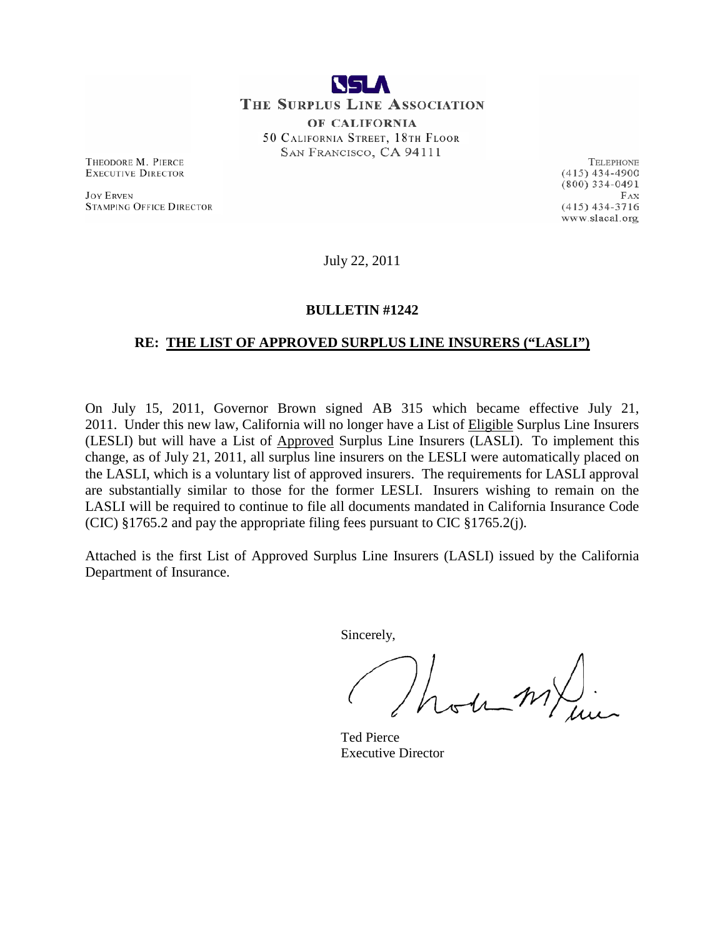

THE SURPLUS LINE ASSOCIATION OF CALIFORNIA 50 CALIFORNIA STREET, 18TH FLOOR SAN FRANCISCO, CA 94111

THEODORE M. PIERCE **EXECUTIVE DIRECTOR** 

**JOY ERVEN STAMPING OFFICE DIRECTOR** 

TELEPHONE  $(415)$  434-4900  $(800)$  334-0491  $FAX$  $(415)$  434-3716 www.slacal.org

July 22, 2011

### **BULLETIN #1242**

### **RE: THE LIST OF APPROVED SURPLUS LINE INSURERS ("LASLI")**

On July 15, 2011, Governor Brown signed AB 315 which became effective July 21, 2011. Under this new law, California will no longer have a List of Eligible Surplus Line Insurers (LESLI) but will have a List of Approved Surplus Line Insurers (LASLI). To implement this change, as of July 21, 2011, all surplus line insurers on the LESLI were automatically placed on the LASLI, which is a voluntary list of approved insurers. The requirements for LASLI approval are substantially similar to those for the former LESLI. Insurers wishing to remain on the LASLI will be required to continue to file all documents mandated in California Insurance Code (CIC) §1765.2 and pay the appropriate filing fees pursuant to CIC §1765.2(j).

Attached is the first List of Approved Surplus Line Insurers (LASLI) issued by the California Department of Insurance.

Sincerely,

um/

Ted Pierce Executive Director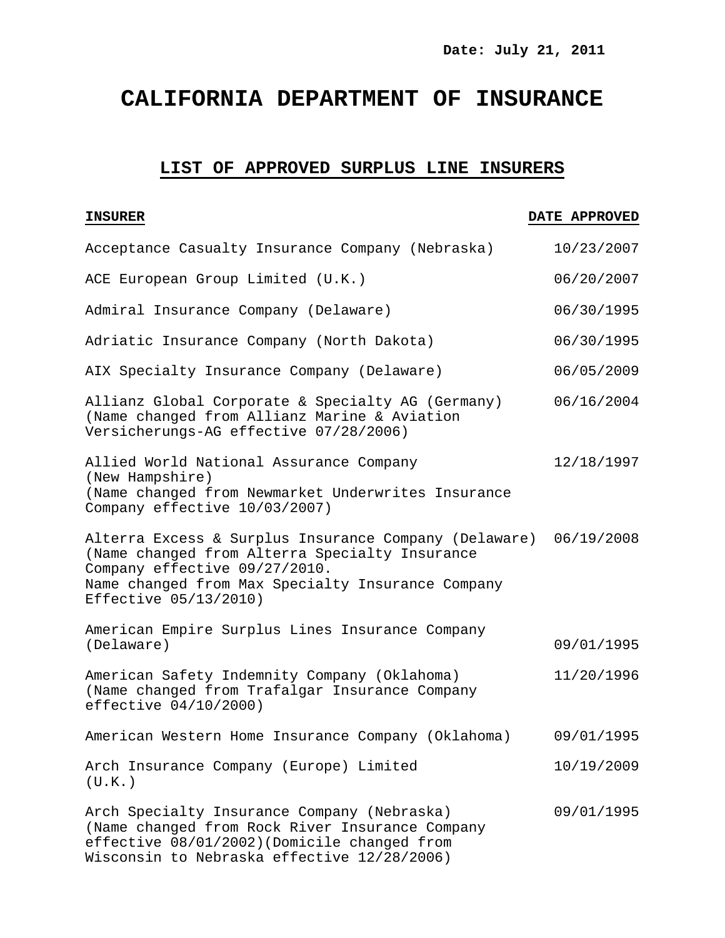# **CALIFORNIA DEPARTMENT OF INSURANCE**

## **LIST OF APPROVED SURPLUS LINE INSURERS**

| Acceptance Casualty Insurance Company (Nebraska)                                                                                                                                                                       | 10/23/2007 |
|------------------------------------------------------------------------------------------------------------------------------------------------------------------------------------------------------------------------|------------|
| ACE European Group Limited (U.K.)                                                                                                                                                                                      | 06/20/2007 |
| Admiral Insurance Company (Delaware)                                                                                                                                                                                   | 06/30/1995 |
| Adriatic Insurance Company (North Dakota)                                                                                                                                                                              | 06/30/1995 |
| AIX Specialty Insurance Company (Delaware)                                                                                                                                                                             | 06/05/2009 |
| Allianz Global Corporate & Specialty AG (Germany)<br>(Name changed from Allianz Marine & Aviation<br>Versicherungs-AG effective 07/28/2006)                                                                            | 06/16/2004 |
| Allied World National Assurance Company<br>(New Hampshire)<br>(Name changed from Newmarket Underwrites Insurance<br>Company effective 10/03/2007)                                                                      | 12/18/1997 |
| Alterra Excess & Surplus Insurance Company (Delaware)<br>(Name changed from Alterra Specialty Insurance<br>Company effective 09/27/2010.<br>Name changed from Max Specialty Insurance Company<br>Effective 05/13/2010) | 06/19/2008 |
| American Empire Surplus Lines Insurance Company<br>(Delaware)                                                                                                                                                          | 09/01/1995 |
| American Safety Indemnity Company (Oklahoma)<br>(Name changed from Trafalgar Insurance Company<br>effective $04/10/2000$ )                                                                                             | 11/20/1996 |
| American Western Home Insurance Company (Oklahoma)                                                                                                                                                                     | 09/01/1995 |
| Arch Insurance Company (Europe) Limited<br>(U.K.)                                                                                                                                                                      | 10/19/2009 |
| Arch Specialty Insurance Company (Nebraska)<br>(Name changed from Rock River Insurance Company<br>effective 08/01/2002) (Domicile changed from<br>Wisconsin to Nebraska effective 12/28/2006)                          | 09/01/1995 |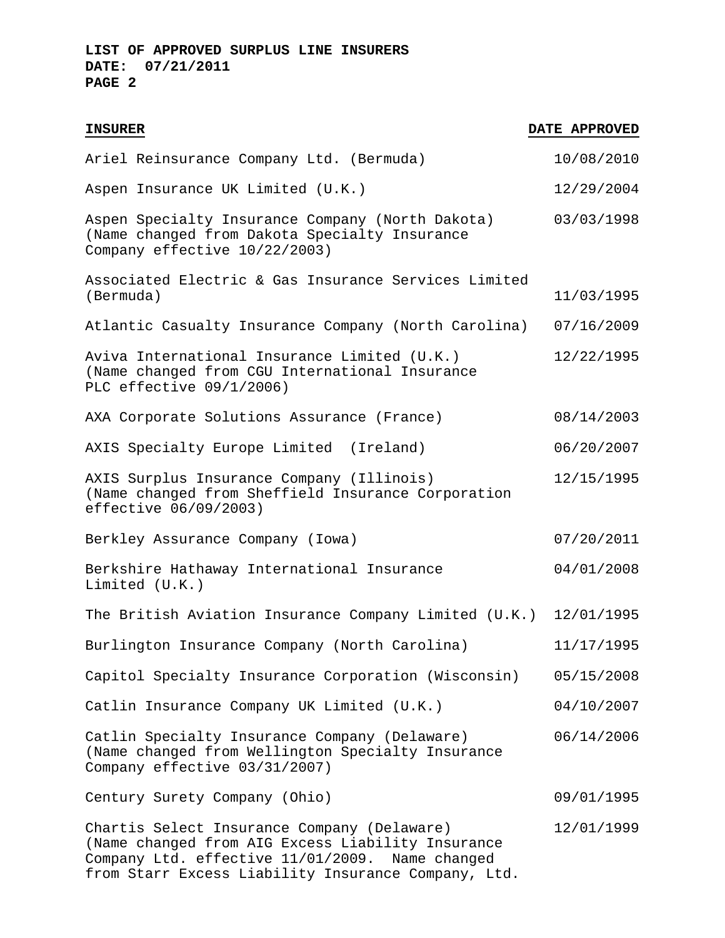| <b>INSURER</b>                                                                                                                                      | DATE APPROVED |
|-----------------------------------------------------------------------------------------------------------------------------------------------------|---------------|
| Ariel Reinsurance Company Ltd. (Bermuda)                                                                                                            | 10/08/2010    |
| Aspen Insurance UK Limited (U.K.)                                                                                                                   | 12/29/2004    |
| Aspen Specialty Insurance Company (North Dakota)<br>(Name changed from Dakota Specialty Insurance<br>Company effective 10/22/2003)                  | 03/03/1998    |
| Associated Electric & Gas Insurance Services Limited<br>(Bermuda)                                                                                   | 11/03/1995    |
| Atlantic Casualty Insurance Company (North Carolina)                                                                                                | 07/16/2009    |
| Aviva International Insurance Limited (U.K.)<br>(Name changed from CGU International Insurance<br>PLC effective 09/1/2006)                          | 12/22/1995    |
| AXA Corporate Solutions Assurance (France)                                                                                                          | 08/14/2003    |
| AXIS Specialty Europe Limited (Ireland)                                                                                                             | 06/20/2007    |
| AXIS Surplus Insurance Company (Illinois)<br>(Name changed from Sheffield Insurance Corporation<br>effective 06/09/2003)                            | 12/15/1995    |
| Berkley Assurance Company (Iowa)                                                                                                                    | 07/20/2011    |
| Berkshire Hathaway International Insurance<br>Limited $(U.K.)$                                                                                      | 04/01/2008    |
| The British Aviation Insurance Company Limited (U.K.) 12/01/1995                                                                                    |               |
| Burlington Insurance Company (North Carolina)                                                                                                       | 11/17/1995    |
| Capitol Specialty Insurance Corporation (Wisconsin)                                                                                                 | 05/15/2008    |
| Catlin Insurance Company UK Limited (U.K.)                                                                                                          | 04/10/2007    |
| Catlin Specialty Insurance Company (Delaware)<br>(Name changed from Wellington Specialty Insurance<br>Company effective 03/31/2007)                 | 06/14/2006    |
| Century Surety Company (Ohio)                                                                                                                       | 09/01/1995    |
| Chartis Select Insurance Company (Delaware)<br>(Name changed from AIG Excess Liability Insurance<br>Company Ltd. effective 11/01/2009. Name changed | 12/01/1999    |

from Starr Excess Liability Insurance Company, Ltd.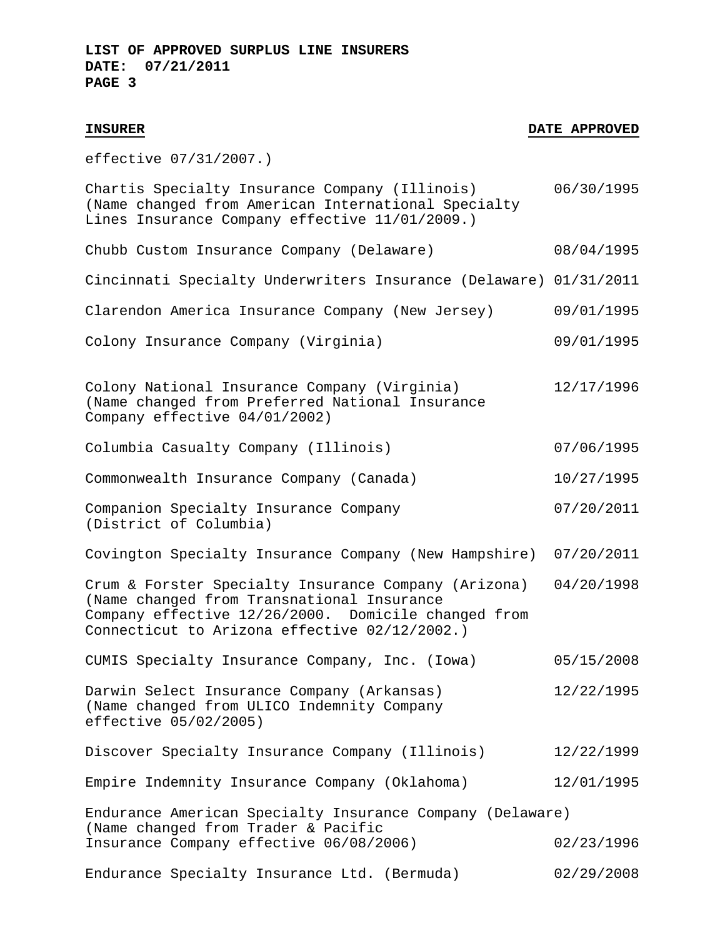effective 07/31/2007.)

| Chartis Specialty Insurance Company (Illinois)<br>(Name changed from American International Specialty<br>Lines Insurance Company effective 11/01/2009.)                                                    | 06/30/1995 |
|------------------------------------------------------------------------------------------------------------------------------------------------------------------------------------------------------------|------------|
| Chubb Custom Insurance Company (Delaware)                                                                                                                                                                  | 08/04/1995 |
| Cincinnati Specialty Underwriters Insurance (Delaware) 01/31/2011                                                                                                                                          |            |
| Clarendon America Insurance Company (New Jersey)                                                                                                                                                           | 09/01/1995 |
| Colony Insurance Company (Virginia)                                                                                                                                                                        | 09/01/1995 |
| Colony National Insurance Company (Virginia)<br>(Name changed from Preferred National Insurance<br>Company effective 04/01/2002)                                                                           | 12/17/1996 |
| Columbia Casualty Company (Illinois)                                                                                                                                                                       | 07/06/1995 |
| Commonwealth Insurance Company (Canada)                                                                                                                                                                    | 10/27/1995 |
| Companion Specialty Insurance Company<br>(District of Columbia)                                                                                                                                            | 07/20/2011 |
| Covington Specialty Insurance Company (New Hampshire)                                                                                                                                                      | 07/20/2011 |
| Crum & Forster Specialty Insurance Company (Arizona)<br>(Name changed from Transnational Insurance<br>Company effective 12/26/2000. Domicile changed from<br>Connecticut to Arizona effective 02/12/2002.) | 04/20/1998 |
| CUMIS Specialty Insurance Company, Inc. (Iowa)                                                                                                                                                             | 05/15/2008 |
| Darwin Select Insurance Company (Arkansas)<br>(Name changed from ULICO Indemnity Company<br>effective 05/02/2005)                                                                                          | 12/22/1995 |
| Discover Specialty Insurance Company (Illinois)                                                                                                                                                            | 12/22/1999 |
| Empire Indemnity Insurance Company (Oklahoma)                                                                                                                                                              | 12/01/1995 |
| Endurance American Specialty Insurance Company (Delaware)<br>(Name changed from Trader & Pacific                                                                                                           |            |
| Insurance Company effective 06/08/2006)                                                                                                                                                                    | 02/23/1996 |
| Endurance Specialty Insurance Ltd. (Bermuda)                                                                                                                                                               | 02/29/2008 |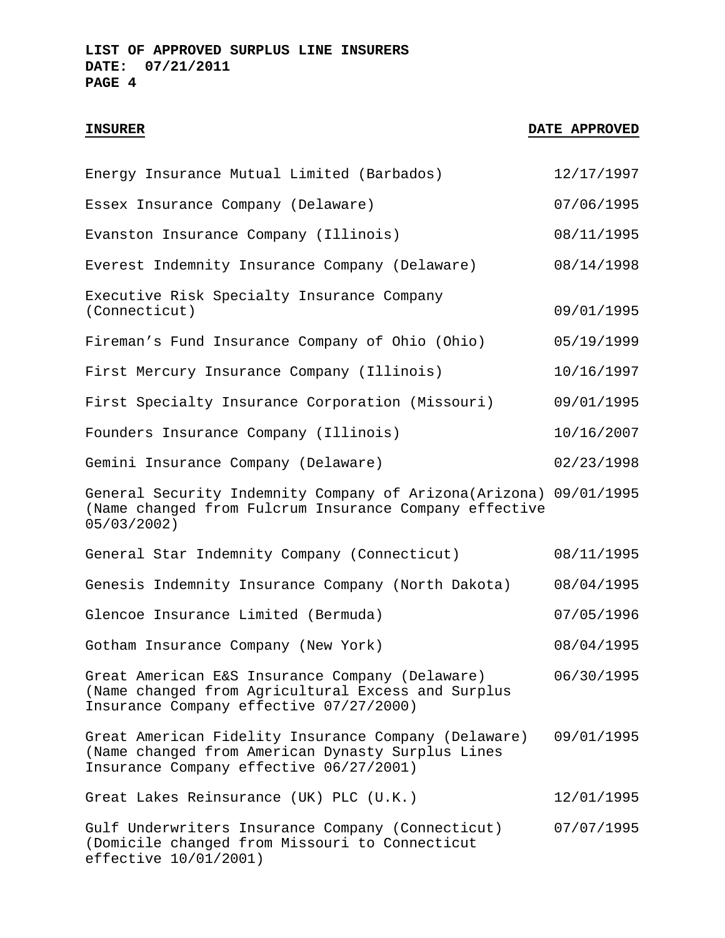| Energy Insurance Mutual Limited (Barbados)                                                                                                           | 12/17/1997 |
|------------------------------------------------------------------------------------------------------------------------------------------------------|------------|
| Essex Insurance Company (Delaware)                                                                                                                   | 07/06/1995 |
| Evanston Insurance Company (Illinois)                                                                                                                | 08/11/1995 |
| Everest Indemnity Insurance Company (Delaware)                                                                                                       | 08/14/1998 |
| Executive Risk Specialty Insurance Company<br>(Connecticut)                                                                                          | 09/01/1995 |
| Fireman's Fund Insurance Company of Ohio (Ohio)                                                                                                      | 05/19/1999 |
| First Mercury Insurance Company (Illinois)                                                                                                           | 10/16/1997 |
| First Specialty Insurance Corporation (Missouri)                                                                                                     | 09/01/1995 |
| Founders Insurance Company (Illinois)                                                                                                                | 10/16/2007 |
| Gemini Insurance Company (Delaware)                                                                                                                  | 02/23/1998 |
| General Security Indemnity Company of Arizona(Arizona) 09/01/1995<br>(Name changed from Fulcrum Insurance Company effective<br>$05/03/2002$ )        |            |
| General Star Indemnity Company (Connecticut)                                                                                                         | 08/11/1995 |
| Genesis Indemnity Insurance Company (North Dakota)                                                                                                   | 08/04/1995 |
| Glencoe Insurance Limited (Bermuda)                                                                                                                  | 07/05/1996 |
| Gotham Insurance Company (New York)                                                                                                                  | 08/04/1995 |
| Great American E&S Insurance Company (Delaware)<br>(Name changed from Agricultural Excess and Surplus<br>Insurance Company effective 07/27/2000)     | 06/30/1995 |
| Great American Fidelity Insurance Company (Delaware)<br>(Name changed from American Dynasty Surplus Lines<br>Insurance Company effective 06/27/2001) | 09/01/1995 |
| Great Lakes Reinsurance (UK) PLC (U.K.)                                                                                                              | 12/01/1995 |
| Gulf Underwriters Insurance Company (Connecticut)<br>(Domicile changed from Missouri to Connecticut<br>effective 10/01/2001)                         | 07/07/1995 |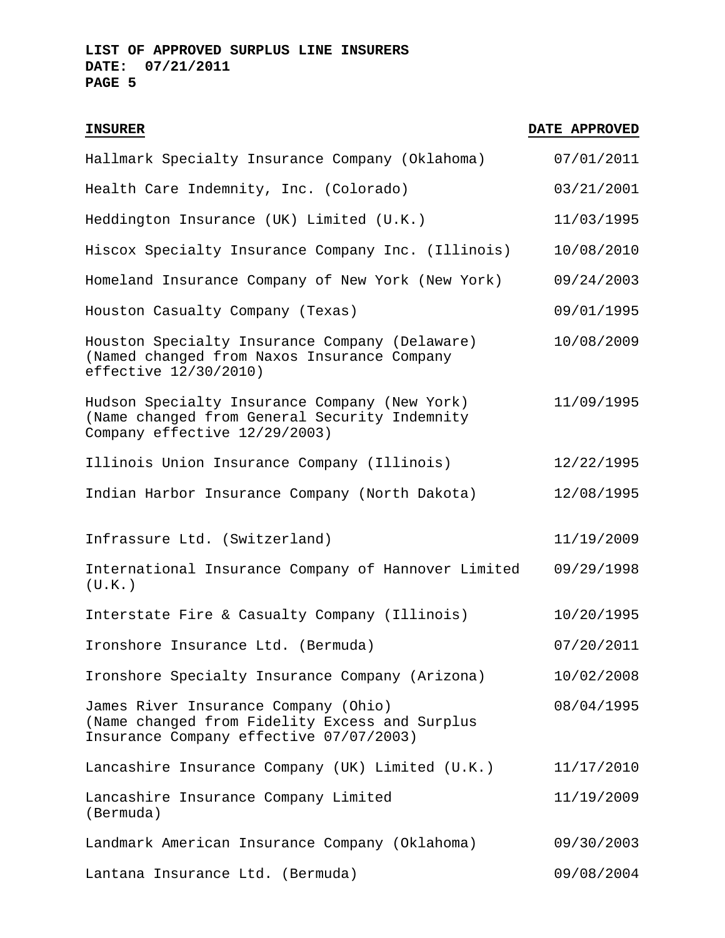| Hallmark Specialty Insurance Company (Oklahoma)                                                                                   | 07/01/2011 |
|-----------------------------------------------------------------------------------------------------------------------------------|------------|
| Health Care Indemnity, Inc. (Colorado)                                                                                            | 03/21/2001 |
| Heddington Insurance (UK) Limited (U.K.)                                                                                          | 11/03/1995 |
| Hiscox Specialty Insurance Company Inc. (Illinois)                                                                                | 10/08/2010 |
| Homeland Insurance Company of New York (New York)                                                                                 | 09/24/2003 |
| Houston Casualty Company (Texas)                                                                                                  | 09/01/1995 |
| Houston Specialty Insurance Company (Delaware)<br>(Named changed from Naxos Insurance Company<br>effective 12/30/2010)            | 10/08/2009 |
| Hudson Specialty Insurance Company (New York)<br>(Name changed from General Security Indemnity<br>Company effective 12/29/2003)   | 11/09/1995 |
| Illinois Union Insurance Company (Illinois)                                                                                       | 12/22/1995 |
| Indian Harbor Insurance Company (North Dakota)                                                                                    | 12/08/1995 |
| Infrassure Ltd. (Switzerland)                                                                                                     | 11/19/2009 |
| International Insurance Company of Hannover Limited<br>(U.K.)                                                                     | 09/29/1998 |
| Interstate Fire & Casualty Company (Illinois)                                                                                     | 10/20/1995 |
| Ironshore Insurance Ltd. (Bermuda)                                                                                                | 07/20/2011 |
| Ironshore Specialty Insurance Company (Arizona)                                                                                   | 10/02/2008 |
| James River Insurance Company (Ohio)<br>(Name changed from Fidelity Excess and Surplus<br>Insurance Company effective 07/07/2003) | 08/04/1995 |
| Lancashire Insurance Company (UK) Limited (U.K.)                                                                                  | 11/17/2010 |
| Lancashire Insurance Company Limited<br>(Bermuda)                                                                                 | 11/19/2009 |
| Landmark American Insurance Company (Oklahoma)                                                                                    | 09/30/2003 |
| Lantana Insurance Ltd. (Bermuda)                                                                                                  | 09/08/2004 |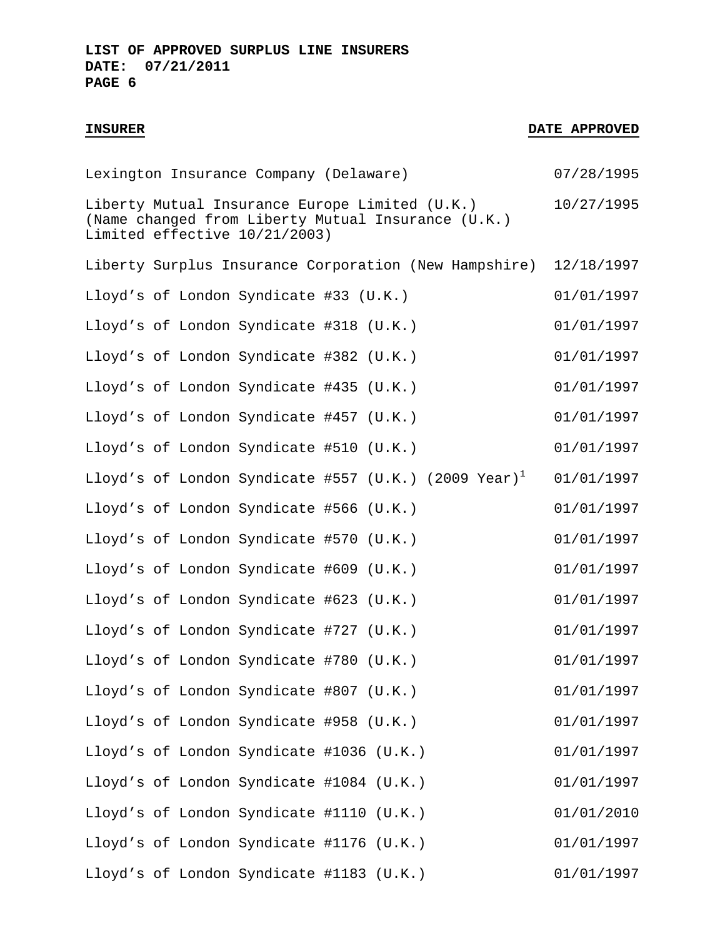| Lexington Insurance Company (Delaware)                                                                                                | 07/28/1995 |
|---------------------------------------------------------------------------------------------------------------------------------------|------------|
| Liberty Mutual Insurance Europe Limited (U.K.)<br>(Name changed from Liberty Mutual Insurance (U.K.)<br>Limited effective 10/21/2003) | 10/27/1995 |
| Liberty Surplus Insurance Corporation (New Hampshire)                                                                                 | 12/18/1997 |
| Lloyd's of London Syndicate #33 (U.K.)                                                                                                | 01/01/1997 |
| Lloyd's of London Syndicate #318 (U.K.)                                                                                               | 01/01/1997 |
| Lloyd's of London Syndicate #382 (U.K.)                                                                                               | 01/01/1997 |
| Lloyd's of London Syndicate #435 (U.K.)                                                                                               | 01/01/1997 |
| Lloyd's of London Syndicate #457 (U.K.)                                                                                               | 01/01/1997 |
| Lloyd's of London Syndicate #510 (U.K.)                                                                                               | 01/01/1997 |
| Lloyd's of London Syndicate #557 (U.K.) (2009 Year) <sup>1</sup>                                                                      | 01/01/1997 |
| Lloyd's of London Syndicate #566 (U.K.)                                                                                               | 01/01/1997 |
| Lloyd's of London Syndicate #570 (U.K.)                                                                                               | 01/01/1997 |
| Lloyd's of London Syndicate #609 (U.K.)                                                                                               | 01/01/1997 |
| Lloyd's of London Syndicate #623 (U.K.)                                                                                               | 01/01/1997 |
| Lloyd's of London Syndicate #727 (U.K.)                                                                                               | 01/01/1997 |
| Lloyd's of London Syndicate #780 (U.K.)                                                                                               | 01/01/1997 |
| Lloyd's of London Syndicate #807 (U.K.)                                                                                               | 01/01/1997 |
| Lloyd's of London Syndicate #958 (U.K.)                                                                                               | 01/01/1997 |
| Lloyd's of London Syndicate #1036 (U.K.)                                                                                              | 01/01/1997 |
| Lloyd's of London Syndicate #1084 (U.K.)                                                                                              | 01/01/1997 |
| Lloyd's of London Syndicate #1110 (U.K.)                                                                                              | 01/01/2010 |
| Lloyd's of London Syndicate #1176 (U.K.)                                                                                              | 01/01/1997 |
| Lloyd's of London Syndicate #1183 (U.K.)                                                                                              | 01/01/1997 |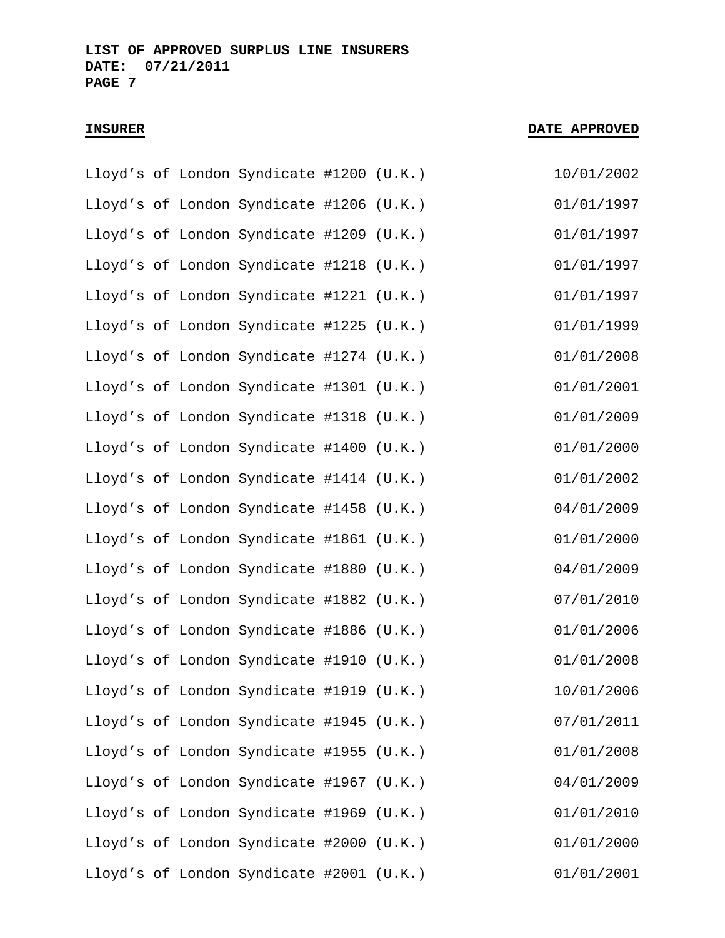|  | Lloyd's of London Syndicate #1200 (U.K.) |  | 10/01/2002 |
|--|------------------------------------------|--|------------|
|  | Lloyd's of London Syndicate #1206 (U.K.) |  | 01/01/1997 |
|  | Lloyd's of London Syndicate #1209 (U.K.) |  | 01/01/1997 |
|  | Lloyd's of London Syndicate #1218 (U.K.) |  | 01/01/1997 |
|  | Lloyd's of London Syndicate #1221 (U.K.) |  | 01/01/1997 |
|  | Lloyd's of London Syndicate #1225 (U.K.) |  | 01/01/1999 |
|  | Lloyd's of London Syndicate #1274 (U.K.) |  | 01/01/2008 |
|  | Lloyd's of London Syndicate #1301 (U.K.) |  | 01/01/2001 |
|  | Lloyd's of London Syndicate #1318 (U.K.) |  | 01/01/2009 |
|  | Lloyd's of London Syndicate #1400 (U.K.) |  | 01/01/2000 |
|  | Lloyd's of London Syndicate #1414 (U.K.) |  | 01/01/2002 |
|  | Lloyd's of London Syndicate #1458 (U.K.) |  | 04/01/2009 |
|  | Lloyd's of London Syndicate #1861 (U.K.) |  | 01/01/2000 |
|  | Lloyd's of London Syndicate #1880 (U.K.) |  | 04/01/2009 |
|  | Lloyd's of London Syndicate #1882 (U.K.) |  | 07/01/2010 |
|  | Lloyd's of London Syndicate #1886 (U.K.) |  | 01/01/2006 |
|  | Lloyd's of London Syndicate #1910 (U.K.) |  | 01/01/2008 |
|  | Lloyd's of London Syndicate #1919 (U.K.) |  | 10/01/2006 |
|  | Lloyd's of London Syndicate #1945 (U.K.) |  | 07/01/2011 |
|  | Lloyd's of London Syndicate #1955 (U.K.) |  | 01/01/2008 |
|  | Lloyd's of London Syndicate #1967 (U.K.) |  | 04/01/2009 |
|  | Lloyd's of London Syndicate #1969 (U.K.) |  | 01/01/2010 |
|  | Lloyd's of London Syndicate #2000 (U.K.) |  | 01/01/2000 |
|  | Lloyd's of London Syndicate #2001 (U.K.) |  | 01/01/2001 |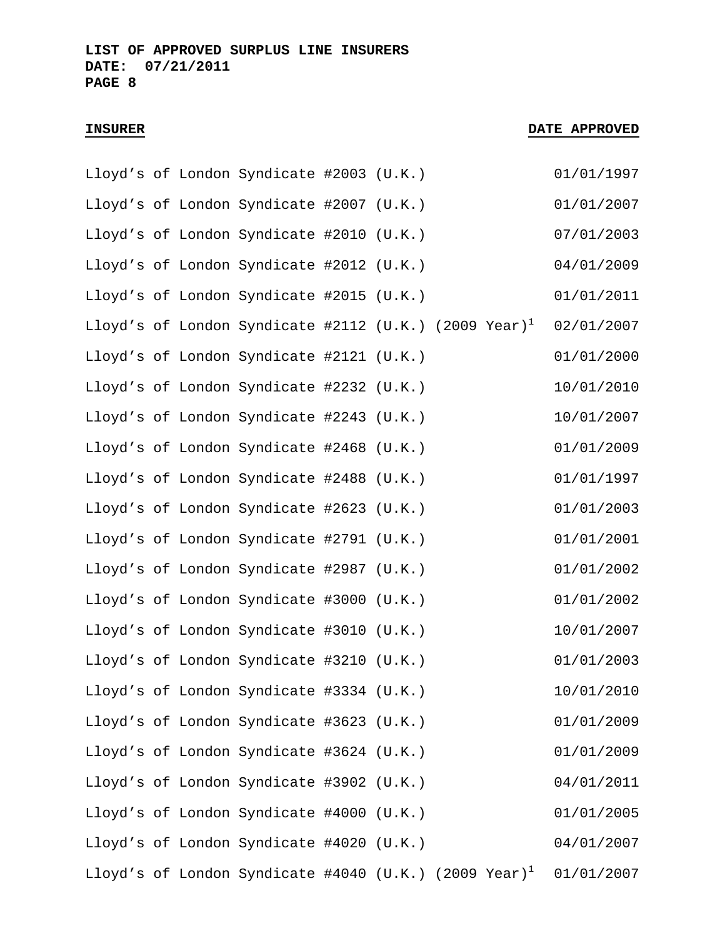|  | Lloyd's of London Syndicate #2003 (U.K.) |  |                                                                   | 01/01/1997 |
|--|------------------------------------------|--|-------------------------------------------------------------------|------------|
|  | Lloyd's of London Syndicate #2007 (U.K.) |  |                                                                   | 01/01/2007 |
|  | Lloyd's of London Syndicate #2010 (U.K.) |  |                                                                   | 07/01/2003 |
|  | Lloyd's of London Syndicate #2012 (U.K.) |  |                                                                   | 04/01/2009 |
|  | Lloyd's of London Syndicate #2015 (U.K.) |  |                                                                   | 01/01/2011 |
|  |                                          |  | Lloyd's of London Syndicate #2112 (U.K.) (2009 Year) <sup>1</sup> | 02/01/2007 |
|  | Lloyd's of London Syndicate #2121 (U.K.) |  |                                                                   | 01/01/2000 |
|  | Lloyd's of London Syndicate #2232 (U.K.) |  |                                                                   | 10/01/2010 |
|  | Lloyd's of London Syndicate #2243 (U.K.) |  |                                                                   | 10/01/2007 |
|  | Lloyd's of London Syndicate #2468 (U.K.) |  |                                                                   | 01/01/2009 |
|  | Lloyd's of London Syndicate #2488 (U.K.) |  |                                                                   | 01/01/1997 |
|  | Lloyd's of London Syndicate #2623 (U.K.) |  |                                                                   | 01/01/2003 |
|  | Lloyd's of London Syndicate #2791 (U.K.) |  |                                                                   | 01/01/2001 |
|  | Lloyd's of London Syndicate #2987 (U.K.) |  |                                                                   | 01/01/2002 |
|  | Lloyd's of London Syndicate #3000 (U.K.) |  |                                                                   | 01/01/2002 |
|  | Lloyd's of London Syndicate #3010 (U.K.) |  |                                                                   | 10/01/2007 |
|  | Lloyd's of London Syndicate #3210 (U.K.) |  |                                                                   | 01/01/2003 |
|  | Lloyd's of London Syndicate #3334 (U.K.) |  |                                                                   | 10/01/2010 |
|  | Lloyd's of London Syndicate #3623 (U.K.) |  |                                                                   | 01/01/2009 |
|  | Lloyd's of London Syndicate #3624 (U.K.) |  |                                                                   | 01/01/2009 |
|  | Lloyd's of London Syndicate #3902 (U.K.) |  |                                                                   | 04/01/2011 |
|  | Lloyd's of London Syndicate #4000 (U.K.) |  |                                                                   | 01/01/2005 |
|  | Lloyd's of London Syndicate #4020 (U.K.) |  |                                                                   | 04/01/2007 |
|  |                                          |  | Lloyd's of London Syndicate #4040 (U.K.) (2009 Year) <sup>1</sup> | 01/01/2007 |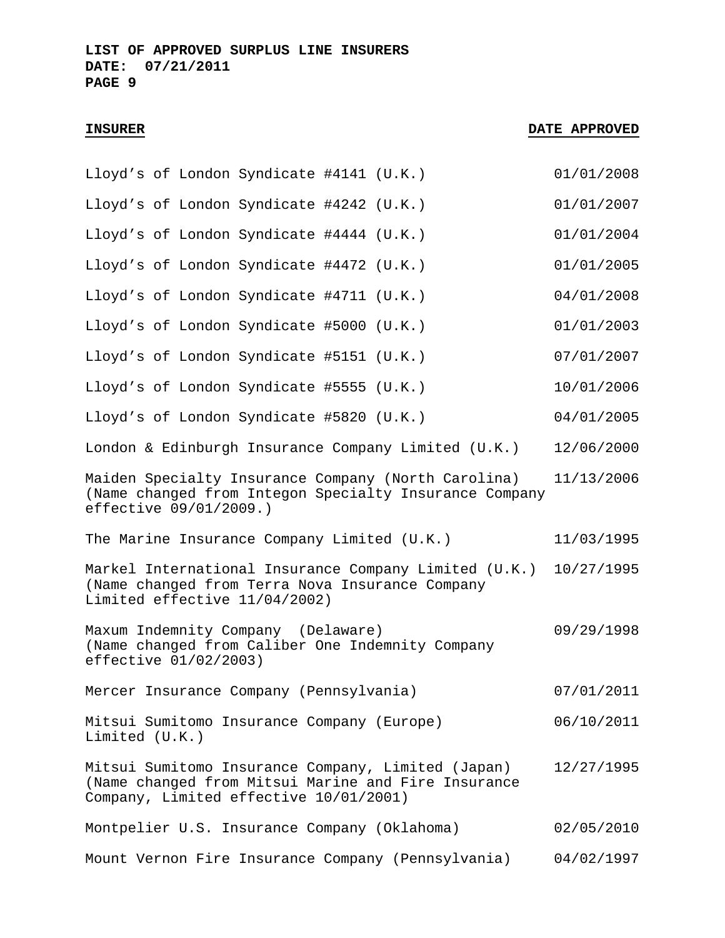| Lloyd's of London Syndicate #4141 (U.K.)                                                                                                            | 01/01/2008 |
|-----------------------------------------------------------------------------------------------------------------------------------------------------|------------|
| Lloyd's of London Syndicate #4242 (U.K.)                                                                                                            | 01/01/2007 |
| Lloyd's of London Syndicate #4444 (U.K.)                                                                                                            | 01/01/2004 |
| Lloyd's of London Syndicate #4472 (U.K.)                                                                                                            | 01/01/2005 |
| Lloyd's of London Syndicate #4711 (U.K.)                                                                                                            | 04/01/2008 |
| Lloyd's of London Syndicate #5000 (U.K.)                                                                                                            | 01/01/2003 |
| Lloyd's of London Syndicate #5151 (U.K.)                                                                                                            | 07/01/2007 |
| Lloyd's of London Syndicate #5555 (U.K.)                                                                                                            | 10/01/2006 |
| Lloyd's of London Syndicate #5820 (U.K.)                                                                                                            | 04/01/2005 |
| London & Edinburgh Insurance Company Limited $(U.K.)$                                                                                               | 12/06/2000 |
| Maiden Specialty Insurance Company (North Carolina)<br>(Name changed from Integon Specialty Insurance Company<br>effective 09/01/2009.)             | 11/13/2006 |
| The Marine Insurance Company Limited (U.K.)                                                                                                         | 11/03/1995 |
| Markel International Insurance Company Limited (U.K.)<br>(Name changed from Terra Nova Insurance Company<br>Limited effective 11/04/2002)           | 10/27/1995 |
| Maxum Indemnity Company (Delaware)<br>(Name changed from Caliber One Indemnity Company<br>effective 01/02/2003)                                     | 09/29/1998 |
| Mercer Insurance Company (Pennsylvania)                                                                                                             | 07/01/2011 |
| Mitsui Sumitomo Insurance Company (Europe)<br>Limited $(U.K.)$                                                                                      | 06/10/2011 |
| Mitsui Sumitomo Insurance Company, Limited (Japan)<br>(Name changed from Mitsui Marine and Fire Insurance<br>Company, Limited effective 10/01/2001) | 12/27/1995 |
| Montpelier U.S. Insurance Company (Oklahoma)                                                                                                        | 02/05/2010 |
| Mount Vernon Fire Insurance Company (Pennsylvania)                                                                                                  | 04/02/1997 |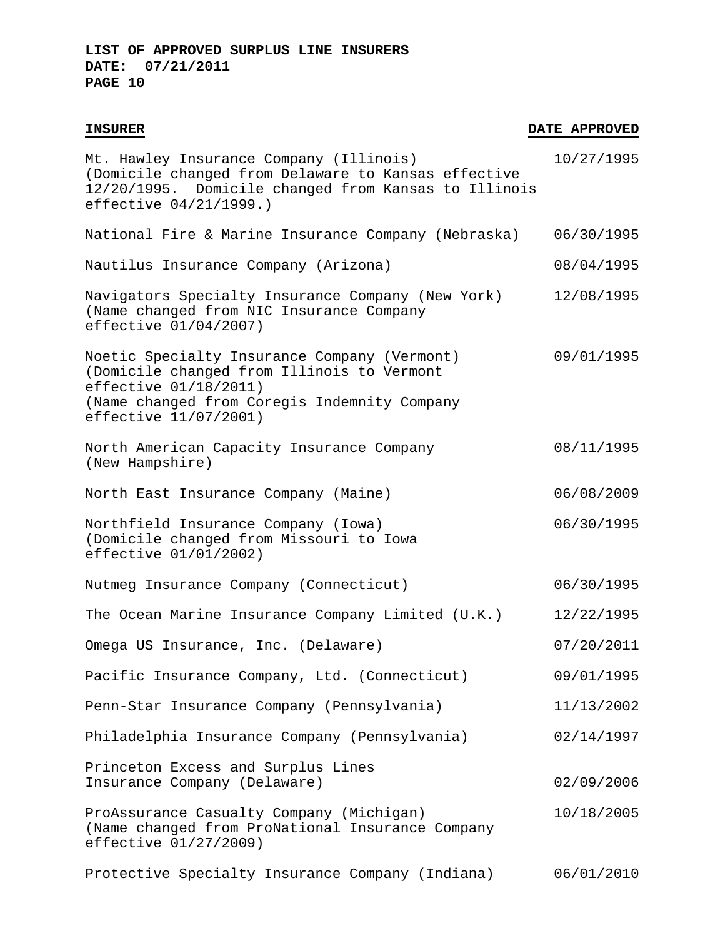| Mt. Hawley Insurance Company (Illinois)<br>(Domicile changed from Delaware to Kansas effective<br>12/20/1995. Domicile changed from Kansas to Illinois<br>effective $04/21/1999.$ )             | 10/27/1995 |
|-------------------------------------------------------------------------------------------------------------------------------------------------------------------------------------------------|------------|
| National Fire & Marine Insurance Company (Nebraska)                                                                                                                                             | 06/30/1995 |
| Nautilus Insurance Company (Arizona)                                                                                                                                                            | 08/04/1995 |
| Navigators Specialty Insurance Company (New York)<br>(Name changed from NIC Insurance Company<br>effective 01/04/2007)                                                                          | 12/08/1995 |
| Noetic Specialty Insurance Company (Vermont)<br>(Domicile changed from Illinois to Vermont<br>effective $01/18/2011$ )<br>(Name changed from Coregis Indemnity Company<br>effective 11/07/2001) | 09/01/1995 |
| North American Capacity Insurance Company<br>(New Hampshire)                                                                                                                                    | 08/11/1995 |
| North East Insurance Company (Maine)                                                                                                                                                            | 06/08/2009 |
| Northfield Insurance Company (Iowa)<br>(Domicile changed from Missouri to Iowa<br>effective 01/01/2002)                                                                                         | 06/30/1995 |
| Nutmeg Insurance Company (Connecticut)                                                                                                                                                          | 06/30/1995 |
| The Ocean Marine Insurance Company Limited (U.K.)                                                                                                                                               | 12/22/1995 |
| Omega US Insurance, Inc. (Delaware)                                                                                                                                                             | 07/20/2011 |
| Pacific Insurance Company, Ltd. (Connecticut)                                                                                                                                                   | 09/01/1995 |
| Penn-Star Insurance Company (Pennsylvania)                                                                                                                                                      | 11/13/2002 |
| Philadelphia Insurance Company (Pennsylvania)                                                                                                                                                   | 02/14/1997 |
| Princeton Excess and Surplus Lines<br>Insurance Company (Delaware)                                                                                                                              | 02/09/2006 |
| ProAssurance Casualty Company (Michigan)<br>(Name changed from ProNational Insurance Company<br>effective 01/27/2009)                                                                           | 10/18/2005 |
| Protective Specialty Insurance Company (Indiana)                                                                                                                                                | 06/01/2010 |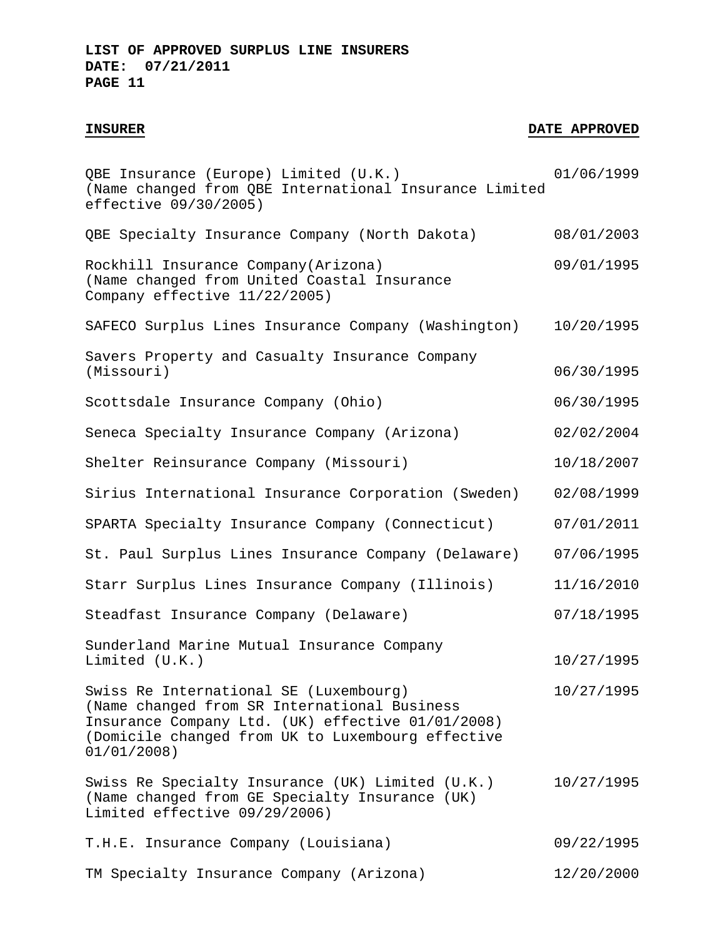| QBE Insurance (Europe) Limited (U.K.)<br>(Name changed from QBE International Insurance Limited<br>effective 09/30/2005)                                                                                        | 01/06/1999 |
|-----------------------------------------------------------------------------------------------------------------------------------------------------------------------------------------------------------------|------------|
| QBE Specialty Insurance Company (North Dakota)                                                                                                                                                                  | 08/01/2003 |
| Rockhill Insurance Company (Arizona)<br>(Name changed from United Coastal Insurance<br>Company effective 11/22/2005)                                                                                            | 09/01/1995 |
| SAFECO Surplus Lines Insurance Company (Washington)                                                                                                                                                             | 10/20/1995 |
| Savers Property and Casualty Insurance Company<br>(Missouri)                                                                                                                                                    | 06/30/1995 |
| Scottsdale Insurance Company (Ohio)                                                                                                                                                                             | 06/30/1995 |
| Seneca Specialty Insurance Company (Arizona)                                                                                                                                                                    | 02/02/2004 |
| Shelter Reinsurance Company (Missouri)                                                                                                                                                                          | 10/18/2007 |
| Sirius International Insurance Corporation (Sweden)                                                                                                                                                             | 02/08/1999 |
| SPARTA Specialty Insurance Company (Connecticut)                                                                                                                                                                | 07/01/2011 |
| St. Paul Surplus Lines Insurance Company (Delaware)                                                                                                                                                             | 07/06/1995 |
| Starr Surplus Lines Insurance Company (Illinois)                                                                                                                                                                | 11/16/2010 |
| Steadfast Insurance Company (Delaware)                                                                                                                                                                          | 07/18/1995 |
| Sunderland Marine Mutual Insurance Company<br>Limited (U.K.)                                                                                                                                                    | 10/27/1995 |
| Swiss Re International SE (Luxembourg)<br>(Name changed from SR International Business<br>Insurance Company Ltd. (UK) effective 01/01/2008)<br>(Domicile changed from UK to Luxembourg effective<br>01/01/2008) | 10/27/1995 |
| Swiss Re Specialty Insurance (UK) Limited (U.K.)<br>(Name changed from GE Specialty Insurance (UK)<br>Limited effective 09/29/2006)                                                                             | 10/27/1995 |
| T.H.E. Insurance Company (Louisiana)                                                                                                                                                                            | 09/22/1995 |
| TM Specialty Insurance Company (Arizona)                                                                                                                                                                        | 12/20/2000 |